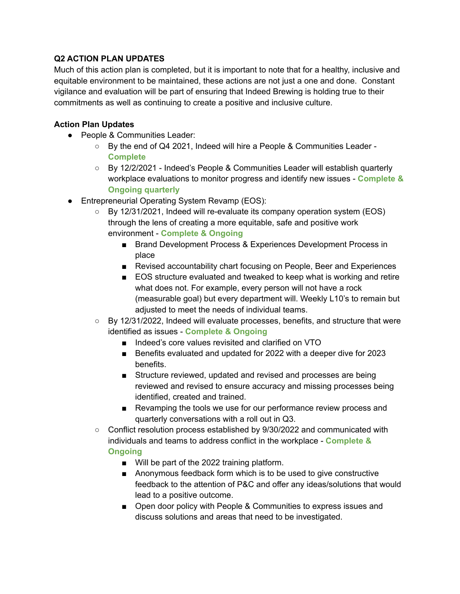## **Q2 ACTION PLAN UPDATES**

Much of this action plan is completed, but it is important to note that for a healthy, inclusive and equitable environment to be maintained, these actions are not just a one and done. Constant vigilance and evaluation will be part of ensuring that Indeed Brewing is holding true to their commitments as well as continuing to create a positive and inclusive culture.

## **Action Plan Updates**

- People & Communities Leader:
	- By the end of Q4 2021, Indeed will hire a People & Communities Leader **Complete**
	- By 12/2/2021 Indeed's People & Communities Leader will establish quarterly workplace evaluations to monitor progress and identify new issues - **Complete & Ongoing quarterly**
- Entrepreneurial Operating System Revamp (EOS):
	- $\circ$  By 12/31/2021, Indeed will re-evaluate its company operation system (EOS) through the lens of creating a more equitable, safe and positive work environment - **Complete & Ongoing**
		- Brand Development Process & Experiences Development Process in place
		- Revised accountability chart focusing on People, Beer and Experiences
		- EOS structure evaluated and tweaked to keep what is working and retire what does not. For example, every person will not have a rock (measurable goal) but every department will. Weekly L10's to remain but adjusted to meet the needs of individual teams.
	- $\circ$  By 12/31/2022, Indeed will evaluate processes, benefits, and structure that were identified as issues - **Complete & Ongoing**
		- Indeed's core values revisited and clarified on VTO
		- Benefits evaluated and updated for 2022 with a deeper dive for 2023 benefits.
		- Structure reviewed, updated and revised and processes are being reviewed and revised to ensure accuracy and missing processes being identified, created and trained.
		- Revamping the tools we use for our performance review process and quarterly conversations with a roll out in Q3.
	- Conflict resolution process established by 9/30/2022 and communicated with individuals and teams to address conflict in the workplace - **Complete & Ongoing**
		- Will be part of the 2022 training platform.
		- Anonymous feedback form which is to be used to give constructive feedback to the attention of P&C and offer any ideas/solutions that would lead to a positive outcome.
		- Open door policy with People & Communities to express issues and discuss solutions and areas that need to be investigated.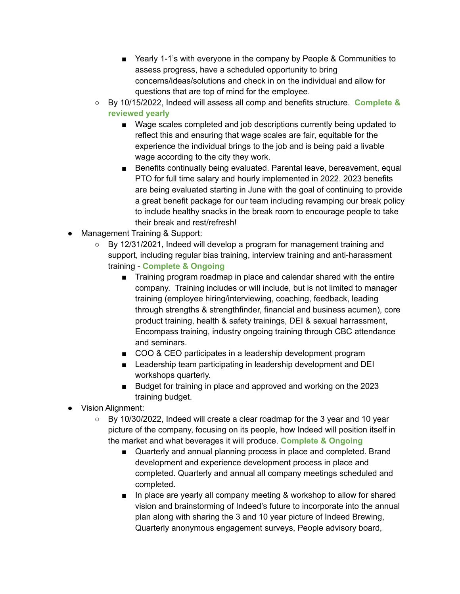- Yearly 1-1's with everyone in the company by People & Communities to assess progress, have a scheduled opportunity to bring concerns/ideas/solutions and check in on the individual and allow for questions that are top of mind for the employee.
- By 10/15/2022, Indeed will assess all comp and benefits structure. **Complete & reviewed yearly**
	- Wage scales completed and job descriptions currently being updated to reflect this and ensuring that wage scales are fair, equitable for the experience the individual brings to the job and is being paid a livable wage according to the city they work.
	- Benefits continually being evaluated. Parental leave, bereavement, equal PTO for full time salary and hourly implemented in 2022. 2023 benefits are being evaluated starting in June with the goal of continuing to provide a great benefit package for our team including revamping our break policy to include healthy snacks in the break room to encourage people to take their break and rest/refresh!
- Management Training & Support:
	- $\circ$  By 12/31/2021, Indeed will develop a program for management training and support, including regular bias training, interview training and anti-harassment training - **Complete & Ongoing**
		- Training program roadmap in place and calendar shared with the entire company. Training includes or will include, but is not limited to manager training (employee hiring/interviewing, coaching, feedback, leading through strengths & strengthfinder, financial and business acumen), core product training, health & safety trainings, DEI & sexual harrassment, Encompass training, industry ongoing training through CBC attendance and seminars.
		- COO & CEO participates in a leadership development program
		- Leadership team participating in leadership development and DEI workshops quarterly.
		- Budget for training in place and approved and working on the 2023 training budget.
- Vision Alignment:
	- By 10/30/2022, Indeed will create a clear roadmap for the 3 year and 10 year picture of the company, focusing on its people, how Indeed will position itself in the market and what beverages it will produce. **Complete & Ongoing**
		- Quarterly and annual planning process in place and completed. Brand development and experience development process in place and completed. Quarterly and annual all company meetings scheduled and completed.
		- In place are yearly all company meeting & workshop to allow for shared vision and brainstorming of Indeed's future to incorporate into the annual plan along with sharing the 3 and 10 year picture of Indeed Brewing, Quarterly anonymous engagement surveys, People advisory board,